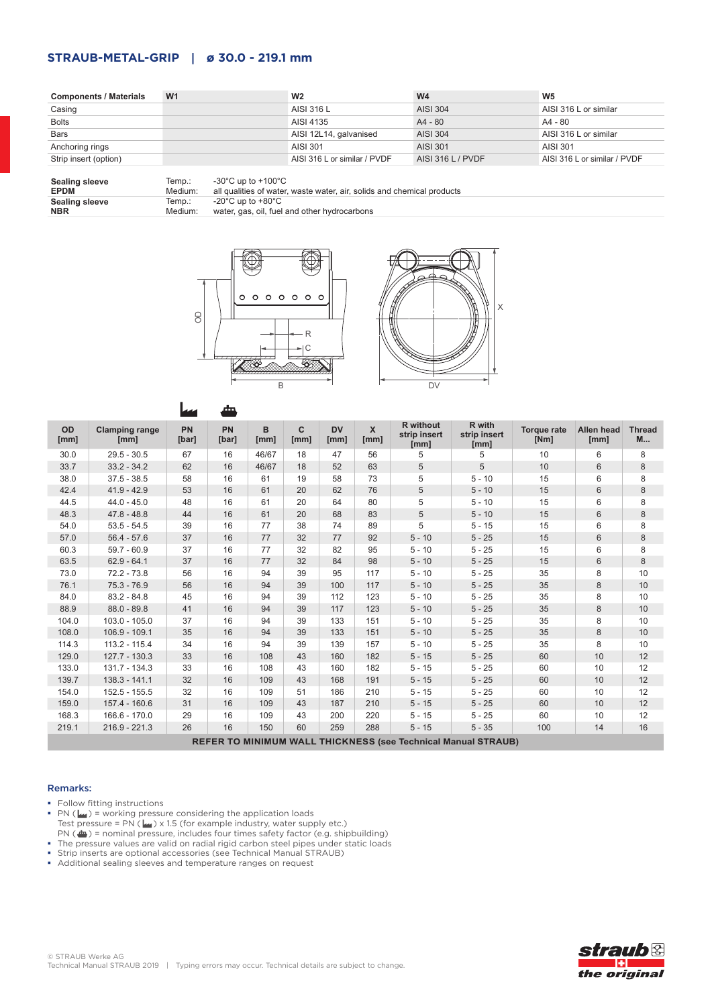## **STRAUB-METAL-GRIP | ø 30.0 - 219.1 mm**

| <b>Components / Materials</b> | W <sub>1</sub> | W <sub>2</sub>               | W <sub>4</sub>    | W <sub>5</sub>               |
|-------------------------------|----------------|------------------------------|-------------------|------------------------------|
| Casing                        |                | AISI 316 L                   | <b>AISI 304</b>   | AISI 316 L or similar        |
| <b>Bolts</b>                  |                | AISI 4135                    | $A4 - 80$         | A4 - 80                      |
| <b>Bars</b>                   |                | AISI 12L14, galvanised       | <b>AISI 304</b>   | AISI 316 L or similar        |
| Anchoring rings               |                | AISI 301                     | AISI 301          | AISI 301                     |
| Strip insert (option)         |                | AISI 316 L or similar / PVDF | AISI 316 L / PVDF | AISI 316 L or similar / PVDF |

| <b>Sealing sleeve</b> | lemp.:  | -30°C up to +100°C                                                     |
|-----------------------|---------|------------------------------------------------------------------------|
| <b>EPDM</b>           | Medium: | all qualities of water, waste water, air, solids and chemical products |
| <b>Sealing sleeve</b> | Temp.:  | -20°C up to +80°C                                                      |
| <b>NBR</b>            | Medium: | water, gas, oil, fuel and other hydrocarbons                           |





|                                                                      |                               | سما                | ┻                  |           |           |                   |                     |                                          |                                |                            |                    |                           |
|----------------------------------------------------------------------|-------------------------------|--------------------|--------------------|-----------|-----------|-------------------|---------------------|------------------------------------------|--------------------------------|----------------------------|--------------------|---------------------------|
| OD<br>[mm]                                                           | <b>Clamping range</b><br>[mm] | <b>PN</b><br>[bar] | <b>PN</b><br>[bar] | B<br>[mm] | C<br>[mm] | <b>DV</b><br>[mm] | $\mathbf x$<br>[mm] | <b>R</b> without<br>strip insert<br>[mm] | R with<br>strip insert<br>[mm] | <b>Torque rate</b><br>[Nm] | Allen head<br>[mm] | <b>Thread</b><br><b>M</b> |
| 30.0                                                                 | $29.5 - 30.5$                 | 67                 | 16                 | 46/67     | 18        | 47                | 56                  | 5                                        | 5                              | 10                         | 6                  | 8                         |
| 33.7                                                                 | $33.2 - 34.2$                 | 62                 | 16                 | 46/67     | 18        | 52                | 63                  | 5                                        | 5                              | 10                         | 6                  | 8                         |
| 38.0                                                                 | $37.5 - 38.5$                 | 58                 | 16                 | 61        | 19        | 58                | 73                  | 5                                        | $5 - 10$                       | 15                         | 6                  | 8                         |
| 42.4                                                                 | $41.9 - 42.9$                 | 53                 | 16                 | 61        | 20        | 62                | 76                  | 5                                        | $5 - 10$                       | 15                         | 6                  | 8                         |
| 44.5                                                                 | $44.0 - 45.0$                 | 48                 | 16                 | 61        | 20        | 64                | 80                  | 5                                        | $5 - 10$                       | 15                         | 6                  | 8                         |
| 48.3                                                                 | $47.8 - 48.8$                 | 44                 | 16                 | 61        | 20        | 68                | 83                  | 5                                        | $5 - 10$                       | 15                         | $6\phantom{1}$     | 8                         |
| 54.0                                                                 | $53.5 - 54.5$                 | 39                 | 16                 | 77        | 38        | 74                | 89                  | 5                                        | $5 - 15$                       | 15                         | 6                  | 8                         |
| 57.0                                                                 | $56.4 - 57.6$                 | 37                 | 16                 | 77        | 32        | 77                | 92                  | $5 - 10$                                 | $5 - 25$                       | 15                         | 6                  | 8                         |
| 60.3                                                                 | $59.7 - 60.9$                 | 37                 | 16                 | 77        | 32        | 82                | 95                  | $5 - 10$                                 | $5 - 25$                       | 15                         | 6                  | 8                         |
| 63.5                                                                 | $62.9 - 64.1$                 | 37                 | 16                 | 77        | 32        | 84                | 98                  | $5 - 10$                                 | $5 - 25$                       | 15                         | 6                  | 8                         |
| 73.0                                                                 | $72.2 - 73.8$                 | 56                 | 16                 | 94        | 39        | 95                | 117                 | $5 - 10$                                 | $5 - 25$                       | 35                         | 8                  | 10                        |
| 76.1                                                                 | $75.3 - 76.9$                 | 56                 | 16                 | 94        | 39        | 100               | 117                 | $5 - 10$                                 | $5 - 25$                       | 35                         | 8                  | 10                        |
| 84.0                                                                 | $83.2 - 84.8$                 | 45                 | 16                 | 94        | 39        | 112               | 123                 | $5 - 10$                                 | $5 - 25$                       | 35                         | 8                  | 10                        |
| 88.9                                                                 | $88.0 - 89.8$                 | 41                 | 16                 | 94        | 39        | 117               | 123                 | $5 - 10$                                 | $5 - 25$                       | 35                         | 8                  | 10                        |
| 104.0                                                                | $103.0 - 105.0$               | 37                 | 16                 | 94        | 39        | 133               | 151                 | $5 - 10$                                 | $5 - 25$                       | 35                         | 8                  | 10                        |
| 108.0                                                                | $106.9 - 109.1$               | 35                 | 16                 | 94        | 39        | 133               | 151                 | $5 - 10$                                 | $5 - 25$                       | 35                         | 8                  | 10                        |
| 114.3                                                                | $113.2 - 115.4$               | 34                 | 16                 | 94        | 39        | 139               | 157                 | $5 - 10$                                 | $5 - 25$                       | 35                         | 8                  | 10                        |
| 129.0                                                                | 127.7 - 130.3                 | 33                 | 16                 | 108       | 43        | 160               | 182                 | $5 - 15$                                 | $5 - 25$                       | 60                         | 10                 | 12                        |
| 133.0                                                                | $131.7 - 134.3$               | 33                 | 16                 | 108       | 43        | 160               | 182                 | $5 - 15$                                 | $5 - 25$                       | 60                         | 10                 | 12                        |
| 139.7                                                                | $138.3 - 141.1$               | 32                 | 16                 | 109       | 43        | 168               | 191                 | $5 - 15$                                 | $5 - 25$                       | 60                         | 10                 | 12                        |
| 154.0                                                                | $152.5 - 155.5$               | 32                 | 16                 | 109       | 51        | 186               | 210                 | $5 - 15$                                 | $5 - 25$                       | 60                         | 10                 | 12                        |
| 159.0                                                                | 157.4 - 160.6                 | 31                 | 16                 | 109       | 43        | 187               | 210                 | $5 - 15$                                 | $5 - 25$                       | 60                         | 10                 | 12                        |
| 168.3                                                                | $166.6 - 170.0$               | 29                 | 16                 | 109       | 43        | 200               | 220                 | $5 - 15$                                 | $5 - 25$                       | 60                         | 10                 | 12                        |
| 219.1                                                                | $216.9 - 221.3$               | 26                 | 16                 | 150       | 60        | 259               | 288                 | $5 - 15$                                 | $5 - 35$                       | 100                        | 14                 | 16                        |
| <b>REFER TO MINIMUM WALL THICKNESS (see Technical Manual STRAUB)</b> |                               |                    |                    |           |           |                   |                     |                                          |                                |                            |                    |                           |

## Remarks:

• Follow fitting instructions

- PN ( $\left| \mu \right|$ ) = working pressure considering the application loads Test pressure = PN ( $\omega$ ) x 1.5 (for example industry, water supply etc.)  $PN$  ( $\bigoplus$ ) = nominal pressure, includes four times safety factor (e.g. shipbuilding)
- The pressure values are valid on radial rigid carbon steel pipes under static loads
- Strip inserts are optional accessories (see Technical Manual STRAUB)
- Additional sealing sleeves and temperature ranges on request